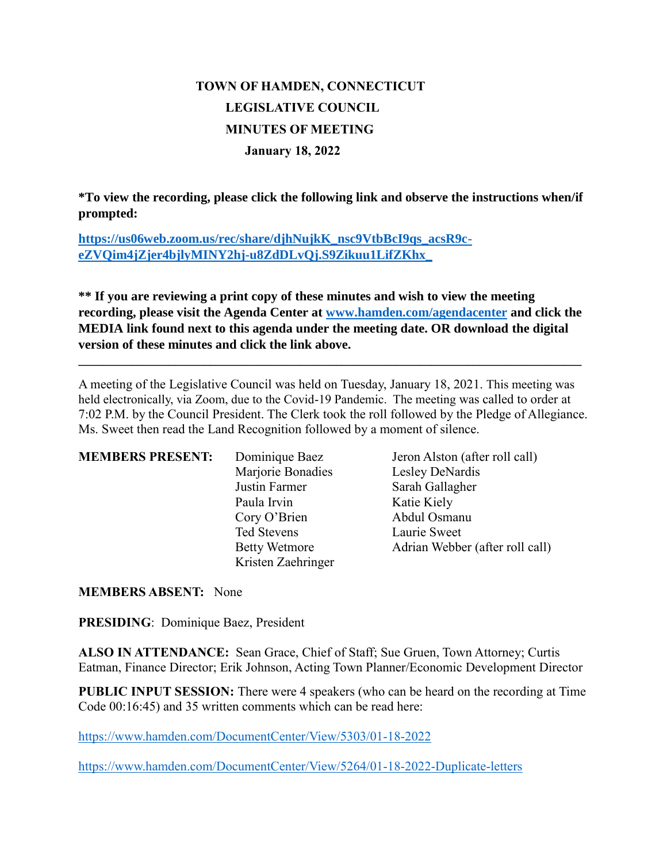# **TOWN OF HAMDEN, CONNECTICUT LEGISLATIVE COUNCIL MINUTES OF MEETING January 18, 2022**

**\*To view the recording, please click the following link and observe the instructions when/if prompted:**

**[https://us06web.zoom.us/rec/share/djhNujkK\\_nsc9VtbBcI9qs\\_acsR9c](https://us06web.zoom.us/rec/share/djhNujkK_nsc9VtbBcI9qs_acsR9c-eZVQim4jZjer4bjlyMINY2hj-u8ZdDLvQj.S9Zikuu1LifZKhx_)[eZVQim4jZjer4bjlyMINY2hj-u8ZdDLvQj.S9Zikuu1LifZKhx\\_](https://us06web.zoom.us/rec/share/djhNujkK_nsc9VtbBcI9qs_acsR9c-eZVQim4jZjer4bjlyMINY2hj-u8ZdDLvQj.S9Zikuu1LifZKhx_)**

**\*\* If you are reviewing a print copy of these minutes and wish to view the meeting recording, please visit the Agenda Center at [www.hamden.com/agendacenter](http://www.hamden.com/agendacenter) and click the MEDIA link found next to this agenda under the meeting date. OR download the digital version of these minutes and click the link above.**

**\_\_\_\_\_\_\_\_\_\_\_\_\_\_\_\_\_\_\_\_\_\_\_\_\_\_\_\_\_\_\_\_\_\_\_\_\_\_\_\_\_\_\_\_\_\_\_\_\_\_\_\_\_\_\_\_\_\_\_\_\_\_\_\_\_\_\_\_\_\_\_\_\_\_\_\_\_\_\_\_\_\_\_\_**

A meeting of the Legislative Council was held on Tuesday, January 18, 2021. This meeting was held electronically, via Zoom, due to the Covid-19 Pandemic. The meeting was called to order at 7:02 P.M. by the Council President. The Clerk took the roll followed by the Pledge of Allegiance. Ms. Sweet then read the Land Recognition followed by a moment of silence.

| <b>MEMBERS PRESENT:</b> | Dominique Baez       | Jeron Alston (after roll call)  |
|-------------------------|----------------------|---------------------------------|
|                         | Marjorie Bonadies    | Lesley DeNardis                 |
|                         | Justin Farmer        | Sarah Gallagher                 |
|                         | Paula Irvin          | Katie Kiely                     |
|                         | Cory O'Brien         | Abdul Osmanu                    |
|                         | Ted Stevens          | Laurie Sweet                    |
|                         | <b>Betty Wetmore</b> | Adrian Webber (after roll call) |
|                         | Kristen Zaehringer   |                                 |

**MEMBERS ABSENT:** None

**PRESIDING**: Dominique Baez, President

**ALSO IN ATTENDANCE:** Sean Grace, Chief of Staff; Sue Gruen, Town Attorney; Curtis Eatman, Finance Director; Erik Johnson, Acting Town Planner/Economic Development Director

**PUBLIC INPUT SESSION:** There were 4 speakers (who can be heard on the recording at Time Code 00:16:45) and 35 written comments which can be read here:

<https://www.hamden.com/DocumentCenter/View/5303/01-18-2022>

<https://www.hamden.com/DocumentCenter/View/5264/01-18-2022-Duplicate-letters>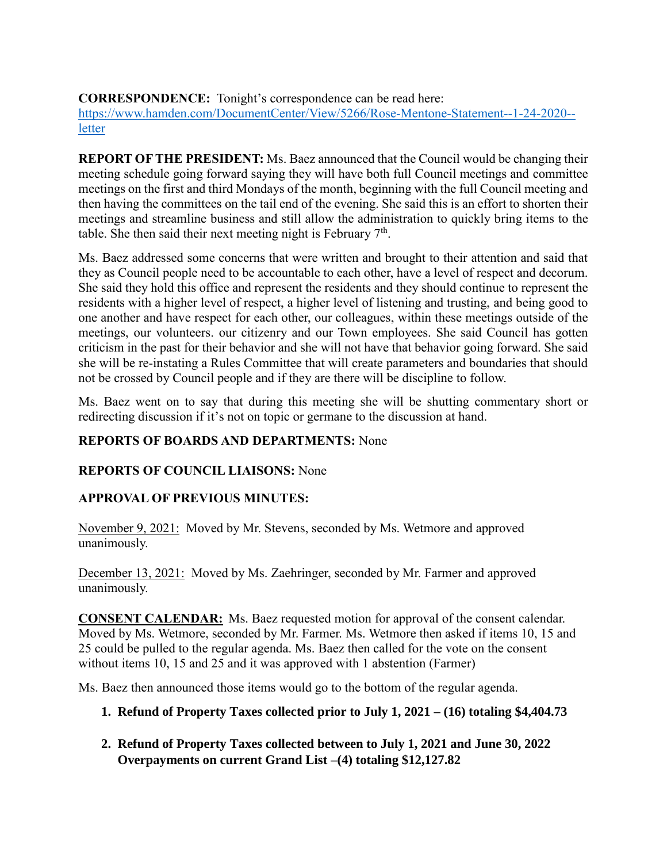**CORRESPONDENCE:** Tonight's correspondence can be read here:

[https://www.hamden.com/DocumentCenter/View/5266/Rose-Mentone-Statement--1-24-2020-](https://www.hamden.com/DocumentCenter/View/5266/Rose-Mentone-Statement--1-24-2020--letter) [letter](https://www.hamden.com/DocumentCenter/View/5266/Rose-Mentone-Statement--1-24-2020--letter)

**REPORT OF THE PRESIDENT:** Ms. Baez announced that the Council would be changing their meeting schedule going forward saying they will have both full Council meetings and committee meetings on the first and third Mondays of the month, beginning with the full Council meeting and then having the committees on the tail end of the evening. She said this is an effort to shorten their meetings and streamline business and still allow the administration to quickly bring items to the table. She then said their next meeting night is February  $7<sup>th</sup>$ .

Ms. Baez addressed some concerns that were written and brought to their attention and said that they as Council people need to be accountable to each other, have a level of respect and decorum. She said they hold this office and represent the residents and they should continue to represent the residents with a higher level of respect, a higher level of listening and trusting, and being good to one another and have respect for each other, our colleagues, within these meetings outside of the meetings, our volunteers. our citizenry and our Town employees. She said Council has gotten criticism in the past for their behavior and she will not have that behavior going forward. She said she will be re-instating a Rules Committee that will create parameters and boundaries that should not be crossed by Council people and if they are there will be discipline to follow.

Ms. Baez went on to say that during this meeting she will be shutting commentary short or redirecting discussion if it's not on topic or germane to the discussion at hand.

# **REPORTS OF BOARDS AND DEPARTMENTS:** None

#### **REPORTS OF COUNCIL LIAISONS:** None

# **APPROVAL OF PREVIOUS MINUTES:**

November 9, 2021: Moved by Mr. Stevens, seconded by Ms. Wetmore and approved unanimously.

December 13, 2021: Moved by Ms. Zaehringer, seconded by Mr. Farmer and approved unanimously.

**CONSENT CALENDAR:** Ms. Baez requested motion for approval of the consent calendar. Moved by Ms. Wetmore, seconded by Mr. Farmer. Ms. Wetmore then asked if items 10, 15 and 25 could be pulled to the regular agenda. Ms. Baez then called for the vote on the consent without items 10, 15 and 25 and it was approved with 1 abstention (Farmer)

Ms. Baez then announced those items would go to the bottom of the regular agenda.

- **1. Refund of Property Taxes collected prior to July 1, 2021 – (16) totaling \$4,404.73**
- **2. Refund of Property Taxes collected between to July 1, 2021 and June 30, 2022 Overpayments on current Grand List –(4) totaling \$12,127.82**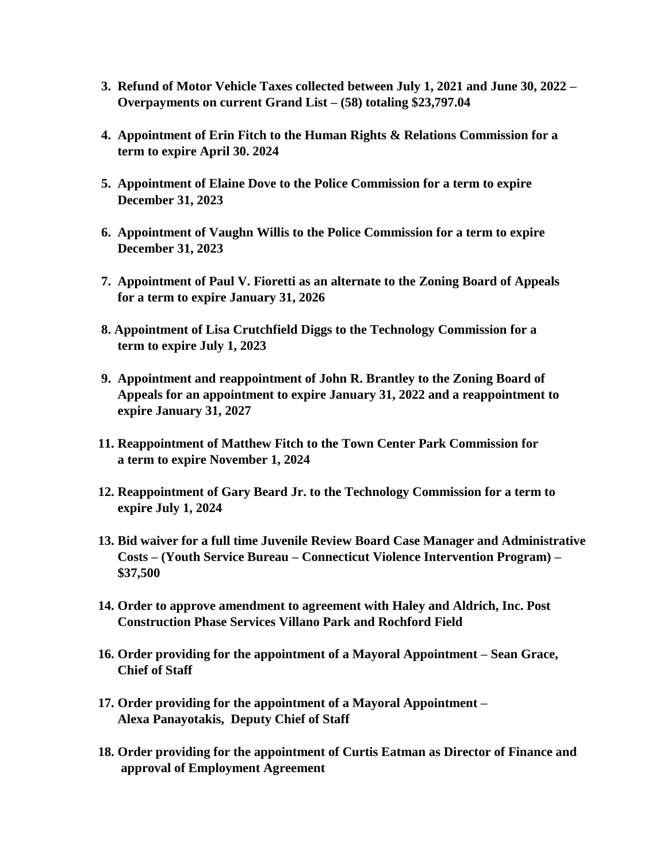- **3. Refund of Motor Vehicle Taxes collected between July 1, 2021 and June 30, 2022 – Overpayments on current Grand List – (58) totaling \$23,797.04**
- **4. Appointment of Erin Fitch to the Human Rights & Relations Commission for a term to expire April 30. 2024**
- **5. Appointment of Elaine Dove to the Police Commission for a term to expire December 31, 2023**
- **6. Appointment of Vaughn Willis to the Police Commission for a term to expire December 31, 2023**
- **7. Appointment of Paul V. Fioretti as an alternate to the Zoning Board of Appeals for a term to expire January 31, 2026**
- **8. Appointment of Lisa Crutchfield Diggs to the Technology Commission for a term to expire July 1, 2023**
- **9. Appointment and reappointment of John R. Brantley to the Zoning Board of Appeals for an appointment to expire January 31, 2022 and a reappointment to expire January 31, 2027**
- **11. Reappointment of Matthew Fitch to the Town Center Park Commission for a term to expire November 1, 2024**
- **12. Reappointment of Gary Beard Jr. to the Technology Commission for a term to expire July 1, 2024**
- **13. Bid waiver for a full time Juvenile Review Board Case Manager and Administrative Costs – (Youth Service Bureau – Connecticut Violence Intervention Program) – \$37,500**
- **14. Order to approve amendment to agreement with Haley and Aldrich, Inc. Post Construction Phase Services Villano Park and Rochford Field**
- **16. Order providing for the appointment of a Mayoral Appointment – Sean Grace, Chief of Staff**
- **17. Order providing for the appointment of a Mayoral Appointment – Alexa Panayotakis, Deputy Chief of Staff**
- **18. Order providing for the appointment of Curtis Eatman as Director of Finance and approval of Employment Agreement**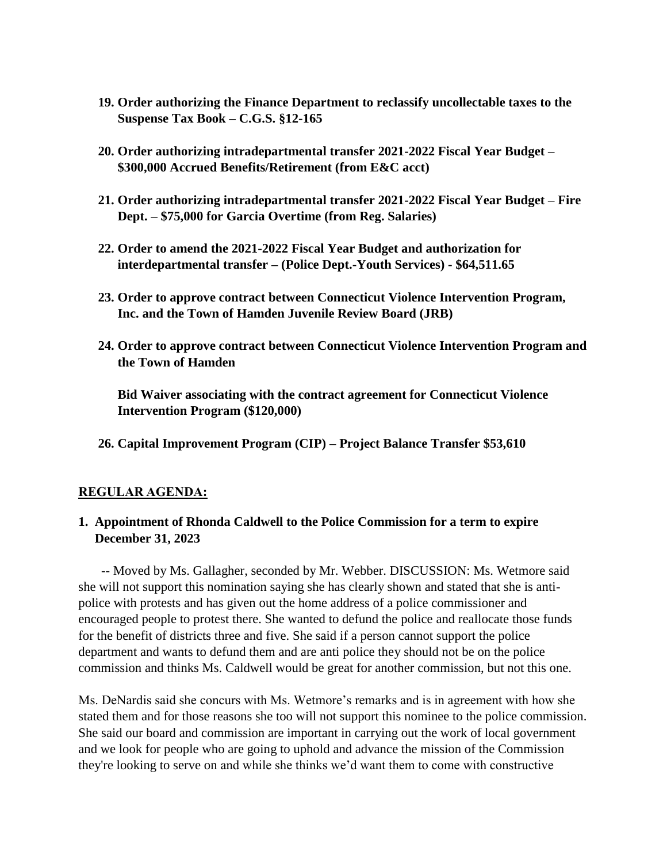- **19. Order authorizing the Finance Department to reclassify uncollectable taxes to the Suspense Tax Book – C.G.S. §12-165**
- **20. Order authorizing intradepartmental transfer 2021-2022 Fiscal Year Budget – \$300,000 Accrued Benefits/Retirement (from E&C acct)**
- **21. Order authorizing intradepartmental transfer 2021-2022 Fiscal Year Budget – Fire Dept. – \$75,000 for Garcia Overtime (from Reg. Salaries)**
- **22. Order to amend the 2021-2022 Fiscal Year Budget and authorization for interdepartmental transfer – (Police Dept.-Youth Services) - \$64,511.65**
- **23. Order to approve contract between Connecticut Violence Intervention Program, Inc. and the Town of Hamden Juvenile Review Board (JRB)**
- **24. Order to approve contract between Connecticut Violence Intervention Program and the Town of Hamden**

 **Bid Waiver associating with the contract agreement for Connecticut Violence Intervention Program (\$120,000)**

 **26. Capital Improvement Program (CIP) – Project Balance Transfer \$53,610**

#### **REGULAR AGENDA:**

#### **1. Appointment of Rhonda Caldwell to the Police Commission for a term to expire December 31, 2023**

 -- Moved by Ms. Gallagher, seconded by Mr. Webber. DISCUSSION: Ms. Wetmore said she will not support this nomination saying she has clearly shown and stated that she is antipolice with protests and has given out the home address of a police commissioner and encouraged people to protest there. She wanted to defund the police and reallocate those funds for the benefit of districts three and five. She said if a person cannot support the police department and wants to defund them and are anti police they should not be on the police commission and thinks Ms. Caldwell would be great for another commission, but not this one.

Ms. DeNardis said she concurs with Ms. Wetmore's remarks and is in agreement with how she stated them and for those reasons she too will not support this nominee to the police commission. She said our board and commission are important in carrying out the work of local government and we look for people who are going to uphold and advance the mission of the Commission they're looking to serve on and while she thinks we'd want them to come with constructive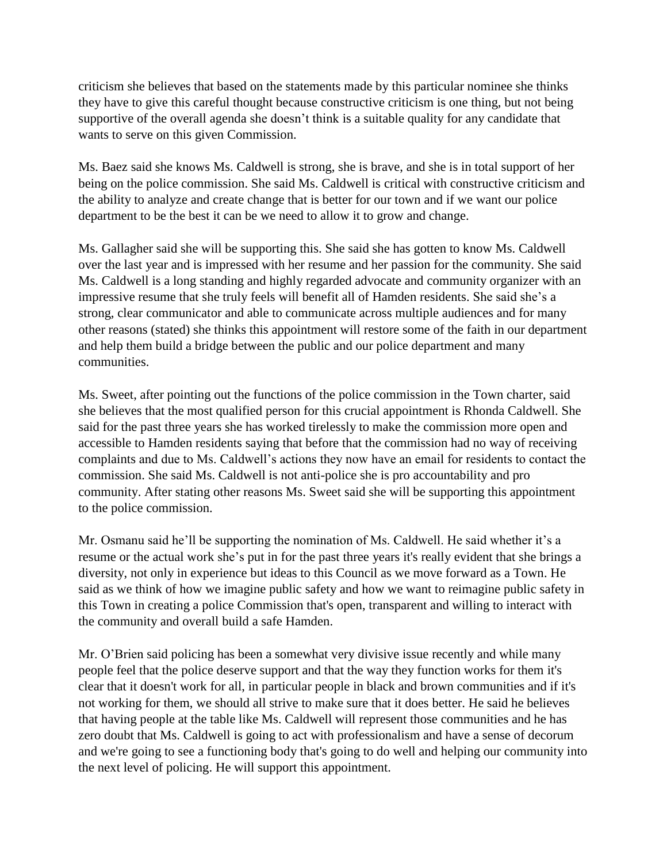criticism she believes that based on the statements made by this particular nominee she thinks they have to give this careful thought because constructive criticism is one thing, but not being supportive of the overall agenda she doesn't think is a suitable quality for any candidate that wants to serve on this given Commission.

Ms. Baez said she knows Ms. Caldwell is strong, she is brave, and she is in total support of her being on the police commission. She said Ms. Caldwell is critical with constructive criticism and the ability to analyze and create change that is better for our town and if we want our police department to be the best it can be we need to allow it to grow and change.

Ms. Gallagher said she will be supporting this. She said she has gotten to know Ms. Caldwell over the last year and is impressed with her resume and her passion for the community. She said Ms. Caldwell is a long standing and highly regarded advocate and community organizer with an impressive resume that she truly feels will benefit all of Hamden residents. She said she's a strong, clear communicator and able to communicate across multiple audiences and for many other reasons (stated) she thinks this appointment will restore some of the faith in our department and help them build a bridge between the public and our police department and many communities.

Ms. Sweet, after pointing out the functions of the police commission in the Town charter, said she believes that the most qualified person for this crucial appointment is Rhonda Caldwell. She said for the past three years she has worked tirelessly to make the commission more open and accessible to Hamden residents saying that before that the commission had no way of receiving complaints and due to Ms. Caldwell's actions they now have an email for residents to contact the commission. She said Ms. Caldwell is not anti-police she is pro accountability and pro community. After stating other reasons Ms. Sweet said she will be supporting this appointment to the police commission.

Mr. Osmanu said he'll be supporting the nomination of Ms. Caldwell. He said whether it's a resume or the actual work she's put in for the past three years it's really evident that she brings a diversity, not only in experience but ideas to this Council as we move forward as a Town. He said as we think of how we imagine public safety and how we want to reimagine public safety in this Town in creating a police Commission that's open, transparent and willing to interact with the community and overall build a safe Hamden.

Mr. O'Brien said policing has been a somewhat very divisive issue recently and while many people feel that the police deserve support and that the way they function works for them it's clear that it doesn't work for all, in particular people in black and brown communities and if it's not working for them, we should all strive to make sure that it does better. He said he believes that having people at the table like Ms. Caldwell will represent those communities and he has zero doubt that Ms. Caldwell is going to act with professionalism and have a sense of decorum and we're going to see a functioning body that's going to do well and helping our community into the next level of policing. He will support this appointment.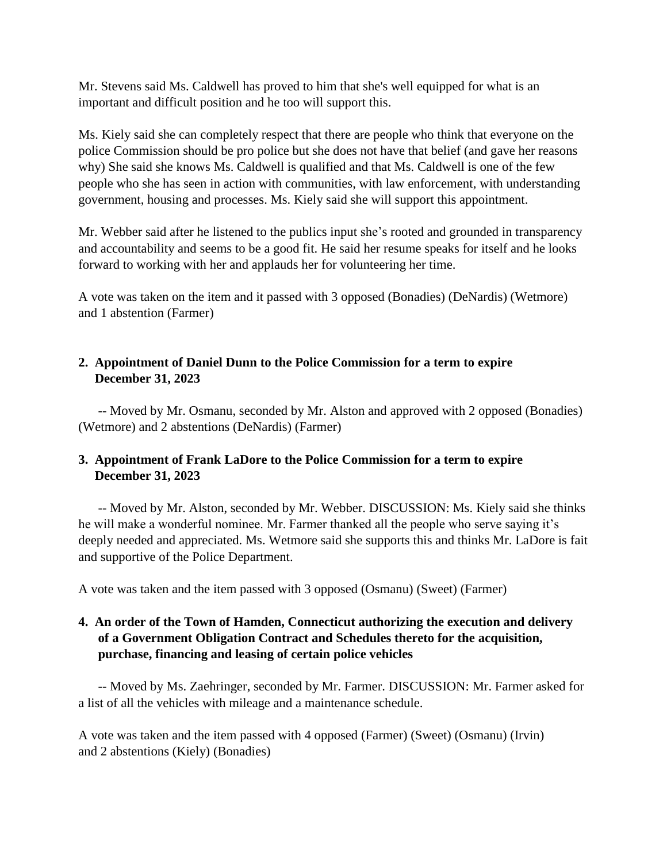Mr. Stevens said Ms. Caldwell has proved to him that she's well equipped for what is an important and difficult position and he too will support this.

Ms. Kiely said she can completely respect that there are people who think that everyone on the police Commission should be pro police but she does not have that belief (and gave her reasons why) She said she knows Ms. Caldwell is qualified and that Ms. Caldwell is one of the few people who she has seen in action with communities, with law enforcement, with understanding government, housing and processes. Ms. Kiely said she will support this appointment.

Mr. Webber said after he listened to the publics input she's rooted and grounded in transparency and accountability and seems to be a good fit. He said her resume speaks for itself and he looks forward to working with her and applauds her for volunteering her time.

A vote was taken on the item and it passed with 3 opposed (Bonadies) (DeNardis) (Wetmore) and 1 abstention (Farmer)

## **2. Appointment of Daniel Dunn to the Police Commission for a term to expire December 31, 2023**

 -- Moved by Mr. Osmanu, seconded by Mr. Alston and approved with 2 opposed (Bonadies) (Wetmore) and 2 abstentions (DeNardis) (Farmer)

## **3. Appointment of Frank LaDore to the Police Commission for a term to expire December 31, 2023**

 -- Moved by Mr. Alston, seconded by Mr. Webber. DISCUSSION: Ms. Kiely said she thinks he will make a wonderful nominee. Mr. Farmer thanked all the people who serve saying it's deeply needed and appreciated. Ms. Wetmore said she supports this and thinks Mr. LaDore is fait and supportive of the Police Department.

A vote was taken and the item passed with 3 opposed (Osmanu) (Sweet) (Farmer)

## **4. An order of the Town of Hamden, Connecticut authorizing the execution and delivery of a Government Obligation Contract and Schedules thereto for the acquisition, purchase, financing and leasing of certain police vehicles**

 -- Moved by Ms. Zaehringer, seconded by Mr. Farmer. DISCUSSION: Mr. Farmer asked for a list of all the vehicles with mileage and a maintenance schedule.

A vote was taken and the item passed with 4 opposed (Farmer) (Sweet) (Osmanu) (Irvin) and 2 abstentions (Kiely) (Bonadies)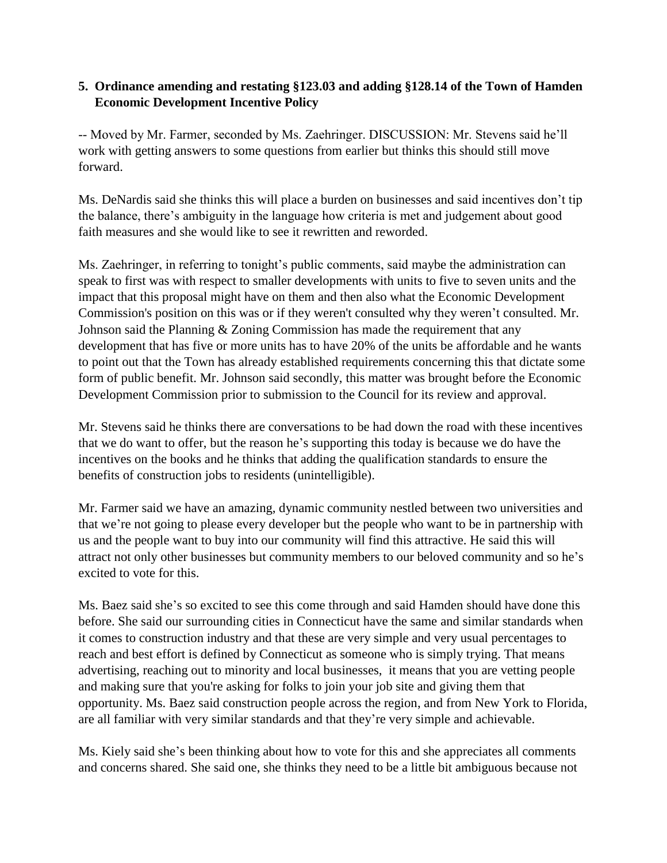### **5. Ordinance amending and restating §123.03 and adding §128.14 of the Town of Hamden Economic Development Incentive Policy**

-- Moved by Mr. Farmer, seconded by Ms. Zaehringer. DISCUSSION: Mr. Stevens said he'll work with getting answers to some questions from earlier but thinks this should still move forward.

Ms. DeNardis said she thinks this will place a burden on businesses and said incentives don't tip the balance, there's ambiguity in the language how criteria is met and judgement about good faith measures and she would like to see it rewritten and reworded.

Ms. Zaehringer, in referring to tonight's public comments, said maybe the administration can speak to first was with respect to smaller developments with units to five to seven units and the impact that this proposal might have on them and then also what the Economic Development Commission's position on this was or if they weren't consulted why they weren't consulted. Mr. Johnson said the Planning & Zoning Commission has made the requirement that any development that has five or more units has to have 20% of the units be affordable and he wants to point out that the Town has already established requirements concerning this that dictate some form of public benefit. Mr. Johnson said secondly, this matter was brought before the Economic Development Commission prior to submission to the Council for its review and approval.

Mr. Stevens said he thinks there are conversations to be had down the road with these incentives that we do want to offer, but the reason he's supporting this today is because we do have the incentives on the books and he thinks that adding the qualification standards to ensure the benefits of construction jobs to residents (unintelligible).

Mr. Farmer said we have an amazing, dynamic community nestled between two universities and that we're not going to please every developer but the people who want to be in partnership with us and the people want to buy into our community will find this attractive. He said this will attract not only other businesses but community members to our beloved community and so he's excited to vote for this.

Ms. Baez said she's so excited to see this come through and said Hamden should have done this before. She said our surrounding cities in Connecticut have the same and similar standards when it comes to construction industry and that these are very simple and very usual percentages to reach and best effort is defined by Connecticut as someone who is simply trying. That means advertising, reaching out to minority and local businesses, it means that you are vetting people and making sure that you're asking for folks to join your job site and giving them that opportunity. Ms. Baez said construction people across the region, and from New York to Florida, are all familiar with very similar standards and that they're very simple and achievable.

Ms. Kiely said she's been thinking about how to vote for this and she appreciates all comments and concerns shared. She said one, she thinks they need to be a little bit ambiguous because not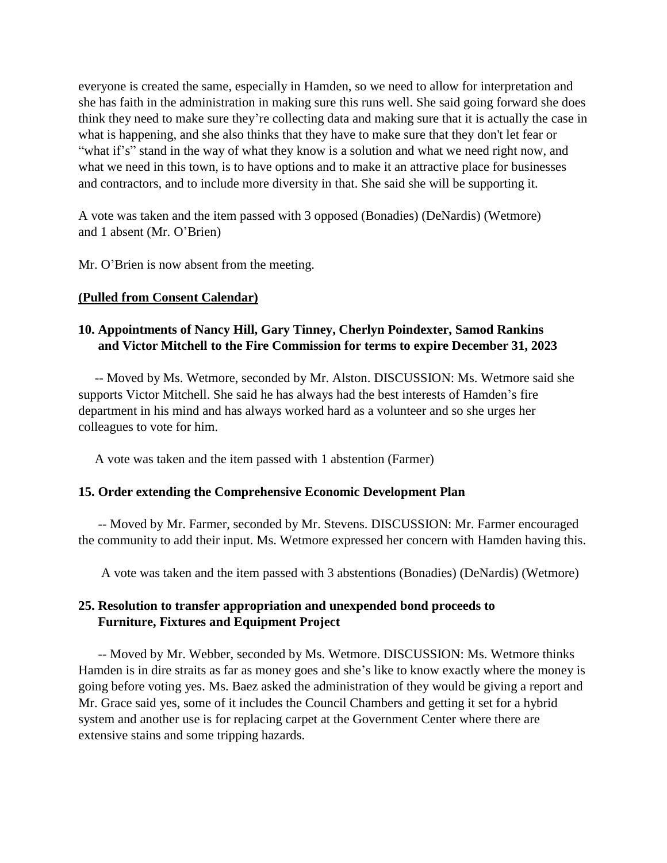everyone is created the same, especially in Hamden, so we need to allow for interpretation and she has faith in the administration in making sure this runs well. She said going forward she does think they need to make sure they're collecting data and making sure that it is actually the case in what is happening, and she also thinks that they have to make sure that they don't let fear or "what if's" stand in the way of what they know is a solution and what we need right now, and what we need in this town, is to have options and to make it an attractive place for businesses and contractors, and to include more diversity in that. She said she will be supporting it.

A vote was taken and the item passed with 3 opposed (Bonadies) (DeNardis) (Wetmore) and 1 absent (Mr. O'Brien)

Mr. O'Brien is now absent from the meeting.

#### **(Pulled from Consent Calendar)**

## **10. Appointments of Nancy Hill, Gary Tinney, Cherlyn Poindexter, Samod Rankins and Victor Mitchell to the Fire Commission for terms to expire December 31, 2023**

 -- Moved by Ms. Wetmore, seconded by Mr. Alston. DISCUSSION: Ms. Wetmore said she supports Victor Mitchell. She said he has always had the best interests of Hamden's fire department in his mind and has always worked hard as a volunteer and so she urges her colleagues to vote for him.

A vote was taken and the item passed with 1 abstention (Farmer)

#### **15. Order extending the Comprehensive Economic Development Plan**

 -- Moved by Mr. Farmer, seconded by Mr. Stevens. DISCUSSION: Mr. Farmer encouraged the community to add their input. Ms. Wetmore expressed her concern with Hamden having this.

A vote was taken and the item passed with 3 abstentions (Bonadies) (DeNardis) (Wetmore)

## **25. Resolution to transfer appropriation and unexpended bond proceeds to Furniture, Fixtures and Equipment Project**

-- Moved by Mr. Webber, seconded by Ms. Wetmore. DISCUSSION: Ms. Wetmore thinks Hamden is in dire straits as far as money goes and she's like to know exactly where the money is going before voting yes. Ms. Baez asked the administration of they would be giving a report and Mr. Grace said yes, some of it includes the Council Chambers and getting it set for a hybrid system and another use is for replacing carpet at the Government Center where there are extensive stains and some tripping hazards.